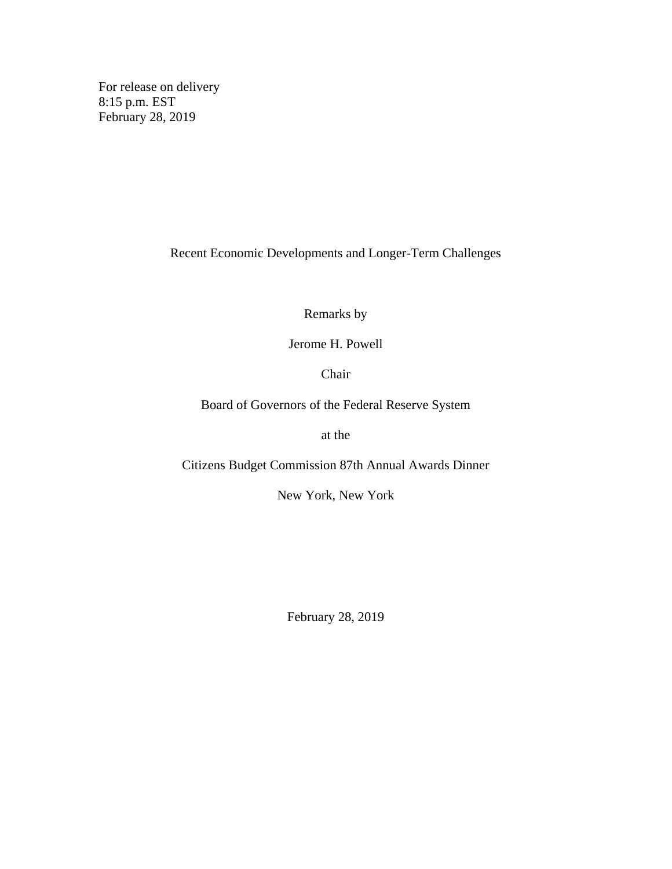For release on delivery 8:15 p.m. EST February 28, 2019

Recent Economic Developments and Longer-Term Challenges

Remarks by

Jerome H. Powell

Chair

Board of Governors of the Federal Reserve System

at the

Citizens Budget Commission 87th Annual Awards Dinner

New York, New York

February 28, 2019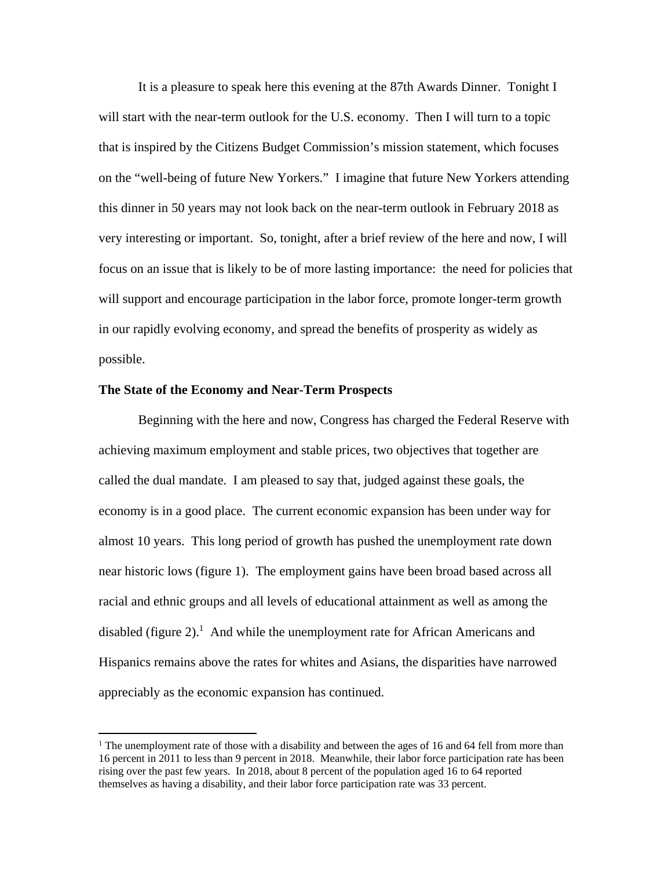It is a pleasure to speak here this evening at the 87th Awards Dinner. Tonight I will start with the near-term outlook for the U.S. economy. Then I will turn to a topic that is inspired by the Citizens Budget Commission's mission statement, which focuses on the "well-being of future New Yorkers." I imagine that future New Yorkers attending this dinner in 50 years may not look back on the near-term outlook in February 2018 as very interesting or important. So, tonight, after a brief review of the here and now, I will focus on an issue that is likely to be of more lasting importance: the need for policies that will support and encourage participation in the labor force, promote longer-term growth in our rapidly evolving economy, and spread the benefits of prosperity as widely as possible.

#### **The State of the Economy and Near-Term Prospects**

Beginning with the here and now, Congress has charged the Federal Reserve with achieving maximum employment and stable prices, two objectives that together are called the dual mandate. I am pleased to say that, judged against these goals, the economy is in a good place. The current economic expansion has been under way for almost 10 years. This long period of growth has pushed the unemployment rate down near historic lows (figure 1). The employment gains have been broad based across all racial and ethnic groups and all levels of educational attainment as well as among the disabled (figure  $2$ ).<sup>1</sup> And while the unemployment rate for African Americans and Hispanics remains above the rates for whites and Asians, the disparities have narrowed appreciably as the economic expansion has continued.

<sup>&</sup>lt;sup>1</sup> The unemployment rate of those with a disability and between the ages of 16 and 64 fell from more than 16 percent in 2011 to less than 9 percent in 2018. Meanwhile, their labor force participation rate has been rising over the past few years. In 2018, about 8 percent of the population aged 16 to 64 reported themselves as having a disability, and their labor force participation rate was 33 percent.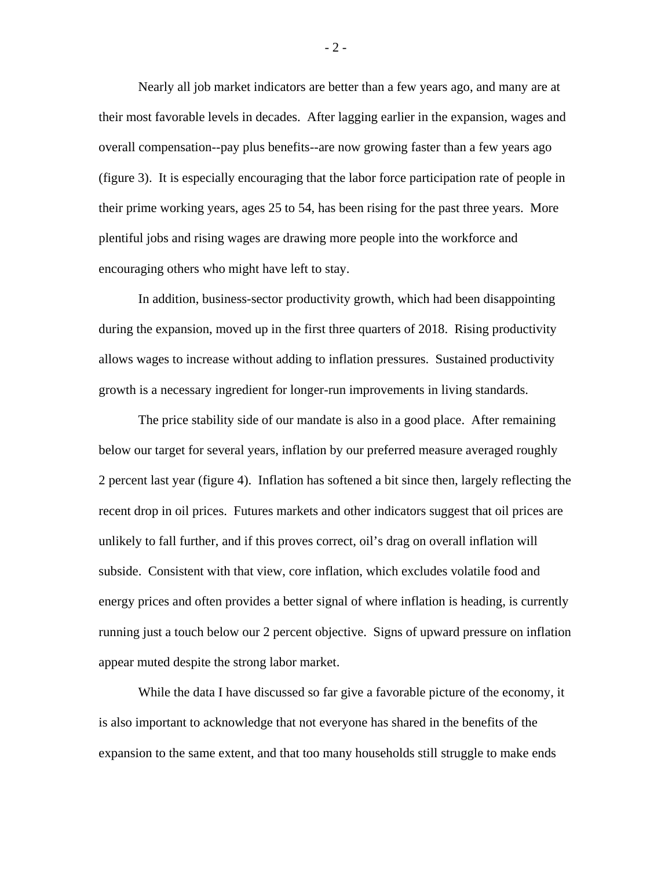Nearly all job market indicators are better than a few years ago, and many are at their most favorable levels in decades. After lagging earlier in the expansion, wages and overall compensation--pay plus benefits--are now growing faster than a few years ago (figure 3). It is especially encouraging that the labor force participation rate of people in their prime working years, ages 25 to 54, has been rising for the past three years. More plentiful jobs and rising wages are drawing more people into the workforce and encouraging others who might have left to stay.

In addition, business-sector productivity growth, which had been disappointing during the expansion, moved up in the first three quarters of 2018. Rising productivity allows wages to increase without adding to inflation pressures. Sustained productivity growth is a necessary ingredient for longer-run improvements in living standards.

The price stability side of our mandate is also in a good place. After remaining below our target for several years, inflation by our preferred measure averaged roughly 2 percent last year (figure 4). Inflation has softened a bit since then, largely reflecting the recent drop in oil prices. Futures markets and other indicators suggest that oil prices are unlikely to fall further, and if this proves correct, oil's drag on overall inflation will subside. Consistent with that view, core inflation, which excludes volatile food and energy prices and often provides a better signal of where inflation is heading, is currently running just a touch below our 2 percent objective. Signs of upward pressure on inflation appear muted despite the strong labor market.

While the data I have discussed so far give a favorable picture of the economy, it is also important to acknowledge that not everyone has shared in the benefits of the expansion to the same extent, and that too many households still struggle to make ends

- 2 -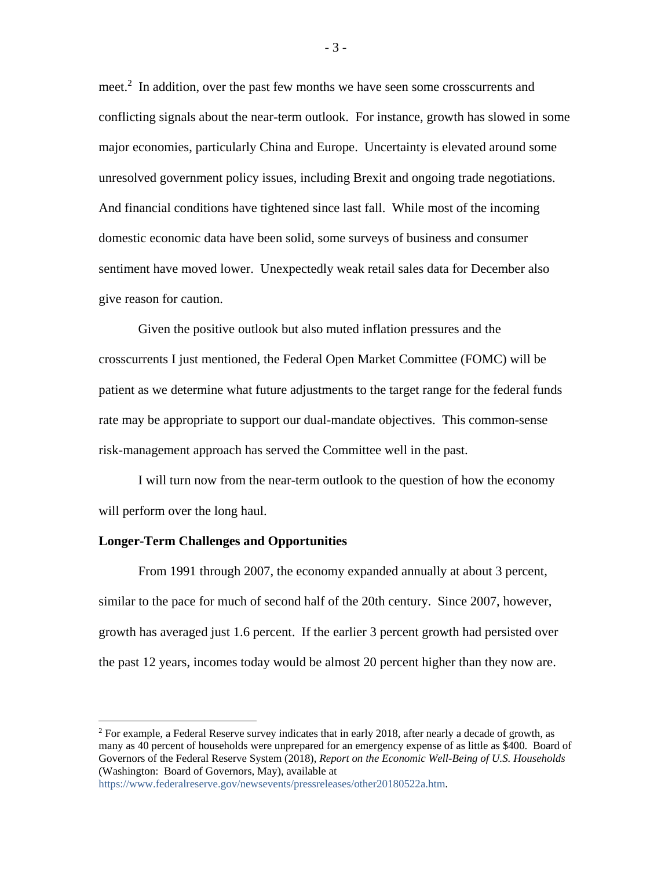meet.<sup>2</sup> In addition, over the past few months we have seen some crosscurrents and conflicting signals about the near-term outlook. For instance, growth has slowed in some major economies, particularly China and Europe. Uncertainty is elevated around some unresolved government policy issues, including Brexit and ongoing trade negotiations. And financial conditions have tightened since last fall. While most of the incoming domestic economic data have been solid, some surveys of business and consumer sentiment have moved lower. Unexpectedly weak retail sales data for December also give reason for caution.

Given the positive outlook but also muted inflation pressures and the crosscurrents I just mentioned, the Federal Open Market Committee (FOMC) will be patient as we determine what future adjustments to the target range for the federal funds rate may be appropriate to support our dual-mandate objectives. This common-sense risk-management approach has served the Committee well in the past.

I will turn now from the near-term outlook to the question of how the economy will perform over the long haul.

#### **Longer-Term Challenges and Opportunities**

From 1991 through 2007, the economy expanded annually at about 3 percent, similar to the pace for much of second half of the 20th century. Since 2007, however, growth has averaged just 1.6 percent. If the earlier 3 percent growth had persisted over the past 12 years, incomes today would be almost 20 percent higher than they now are.

 $2$  For example, a Federal Reserve survey indicates that in early 2018, after nearly a decade of growth, as many as 40 percent of households were unprepared for an emergency expense of as little as \$400. Board of Governors of the Federal Reserve System (2018), *Report on the Economic Well-Being of U.S. Households* (Washington: Board of Governors, May), available at

[https://www.federalreserve.gov/newsevents/pressreleases/other20180522a.htm.](https://www.federalreserve.gov/newsevents/pressreleases/other20180522a.htm)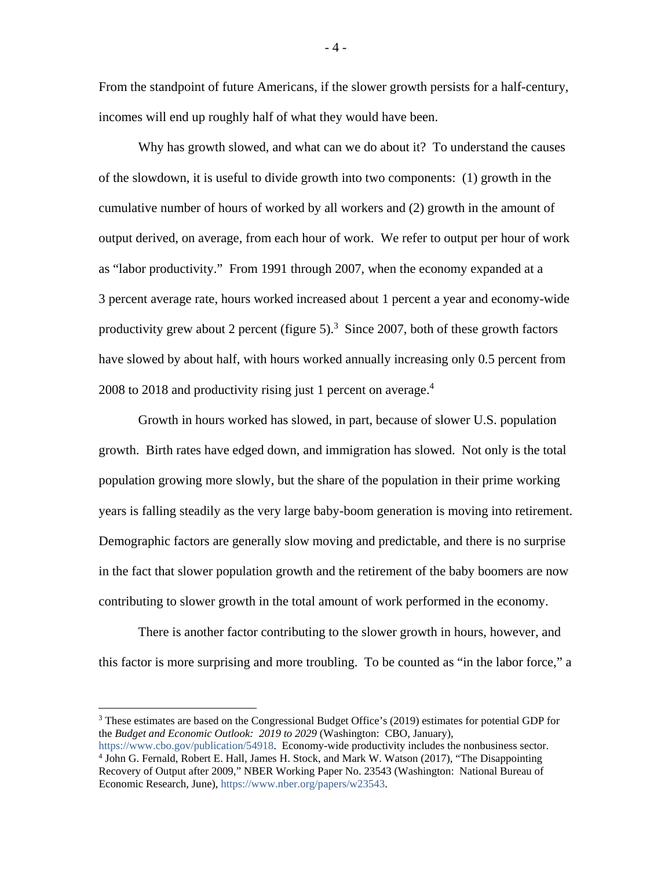From the standpoint of future Americans, if the slower growth persists for a half-century, incomes will end up roughly half of what they would have been.

Why has growth slowed, and what can we do about it? To understand the causes of the slowdown, it is useful to divide growth into two components: (1) growth in the cumulative number of hours of worked by all workers and (2) growth in the amount of output derived, on average, from each hour of work. We refer to output per hour of work as "labor productivity." From 1991 through 2007, when the economy expanded at a 3 percent average rate, hours worked increased about 1 percent a year and economy-wide productivity grew about 2 percent (figure 5).<sup>3</sup> Since 2007, both of these growth factors have slowed by about half, with hours worked annually increasing only 0.5 percent from 2008 to 2018 and productivity rising just 1 percent on average.<sup>4</sup>

Growth in hours worked has slowed, in part, because of slower U.S. population growth. Birth rates have edged down, and immigration has slowed. Not only is the total population growing more slowly, but the share of the population in their prime working years is falling steadily as the very large baby-boom generation is moving into retirement. Demographic factors are generally slow moving and predictable, and there is no surprise in the fact that slower population growth and the retirement of the baby boomers are now contributing to slower growth in the total amount of work performed in the economy.

There is another factor contributing to the slower growth in hours, however, and this factor is more surprising and more troubling. To be counted as "in the labor force," a

 $3$  These estimates are based on the Congressional Budget Office's (2019) estimates for potential GDP for the *Budget and Economic Outlook: 2019 to 2029* (Washington: CBO, January),

[https://www.cbo.gov/publication/54918.](https://www.cbo.gov/publication/54918) Economy-wide productivity includes the nonbusiness sector. <sup>4</sup> John G. Fernald, Robert E. Hall, James H. Stock, and Mark W. Watson (2017), "The Disappointing Recovery of Output after 2009," NBER Working Paper No. 23543 (Washington: National Bureau of Economic Research, June), [https://www.nber.org/papers/w23543.](https://www.nber.org/papers/w23543)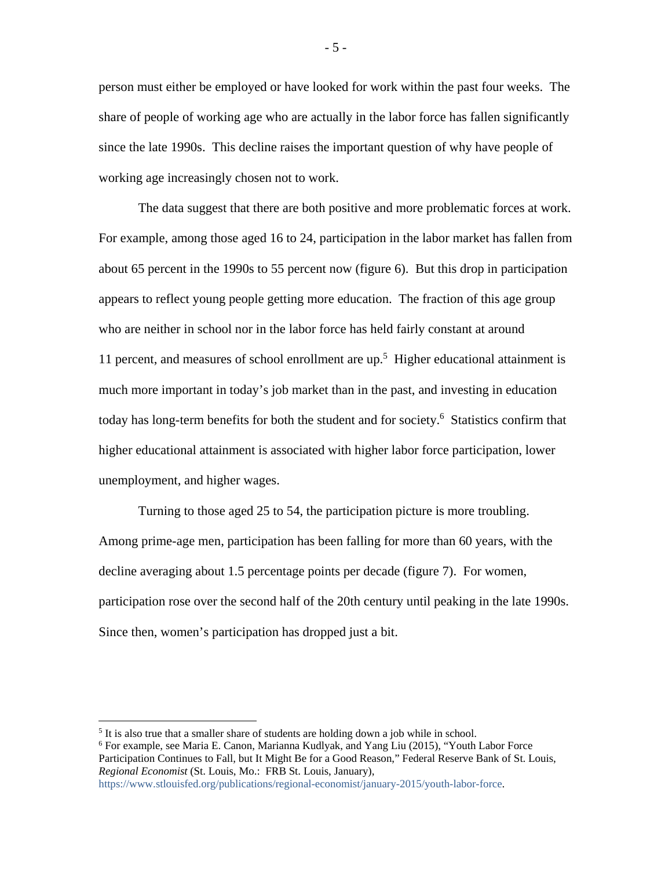person must either be employed or have looked for work within the past four weeks. The share of people of working age who are actually in the labor force has fallen significantly since the late 1990s. This decline raises the important question of why have people of working age increasingly chosen not to work.

The data suggest that there are both positive and more problematic forces at work. For example, among those aged 16 to 24, participation in the labor market has fallen from about 65 percent in the 1990s to 55 percent now (figure 6). But this drop in participation appears to reflect young people getting more education. The fraction of this age group who are neither in school nor in the labor force has held fairly constant at around 11 percent, and measures of school enrollment are up.<sup>5</sup> Higher educational attainment is much more important in today's job market than in the past, and investing in education today has long-term benefits for both the student and for society.<sup>6</sup> Statistics confirm that higher educational attainment is associated with higher labor force participation, lower unemployment, and higher wages.

Turning to those aged 25 to 54, the participation picture is more troubling. Among prime-age men, participation has been falling for more than 60 years, with the decline averaging about 1.5 percentage points per decade (figure 7). For women, participation rose over the second half of the 20th century until peaking in the late 1990s. Since then, women's participation has dropped just a bit.

<sup>&</sup>lt;sup>5</sup> It is also true that a smaller share of students are holding down a job while in school.

<sup>6</sup> For example, see Maria E. Canon, Marianna Kudlyak, and Yang Liu (2015), "Youth Labor Force Participation Continues to Fall, but It Might Be for a Good Reason," Federal Reserve Bank of St. Louis, *Regional Economist* (St. Louis, Mo.: FRB St. Louis, January),

[https://www.stlouisfed.org/publications/regional-economist/january-2015/youth-labor-force.](https://www.stlouisfed.org/publications/regional-economist/january-2015/youth-labor-force)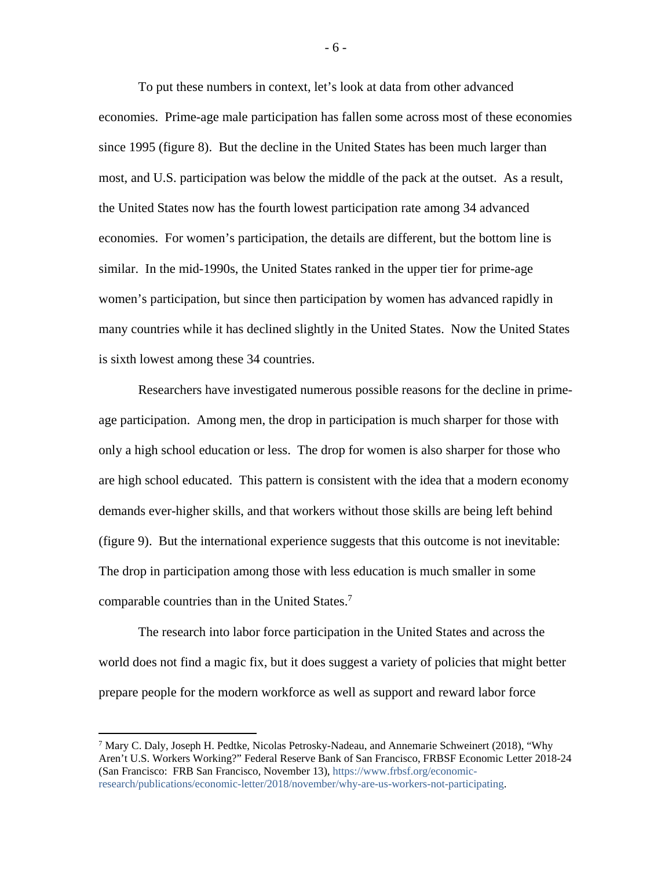To put these numbers in context, let's look at data from other advanced economies. Prime-age male participation has fallen some across most of these economies since 1995 (figure 8). But the decline in the United States has been much larger than most, and U.S. participation was below the middle of the pack at the outset. As a result, the United States now has the fourth lowest participation rate among 34 advanced economies. For women's participation, the details are different, but the bottom line is similar. In the mid-1990s, the United States ranked in the upper tier for prime-age women's participation, but since then participation by women has advanced rapidly in many countries while it has declined slightly in the United States. Now the United States is sixth lowest among these 34 countries.

Researchers have investigated numerous possible reasons for the decline in primeage participation. Among men, the drop in participation is much sharper for those with only a high school education or less. The drop for women is also sharper for those who are high school educated. This pattern is consistent with the idea that a modern economy demands ever-higher skills, and that workers without those skills are being left behind (figure 9). But the international experience suggests that this outcome is not inevitable: The drop in participation among those with less education is much smaller in some comparable countries than in the United States.<sup>7</sup>

The research into labor force participation in the United States and across the world does not find a magic fix, but it does suggest a variety of policies that might better prepare people for the modern workforce as well as support and reward labor force

- 6 -

 <sup>7</sup> Mary C. Daly, Joseph H. Pedtke, Nicolas Petrosky-Nadeau, and Annemarie Schweinert (2018), "Why Aren't U.S. Workers Working?" Federal Reserve Bank of San Francisco, FRBSF Economic Letter 2018-24 (San Francisco: FRB San Francisco, November 13), [https://www.frbsf.org/economic](https://www.frbsf.org/economic-research/publications/economic-letter/2018/november/why-are-us-workers-not-participating)[research/publications/economic-letter/2018/november/why-are-us-workers-not-participating.](https://www.frbsf.org/economic-research/publications/economic-letter/2018/november/why-are-us-workers-not-participating)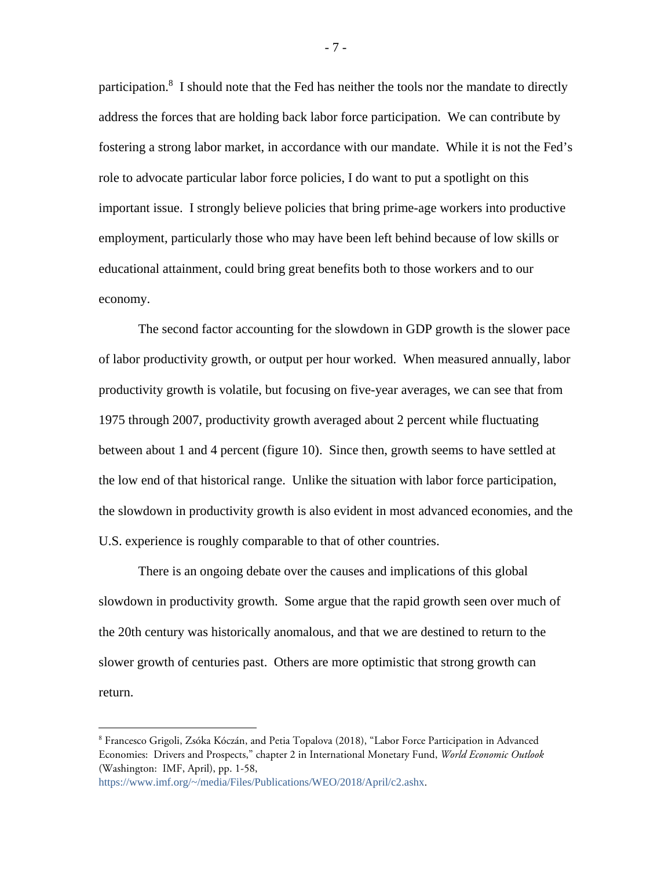participation.<sup>8</sup> I should note that the Fed has neither the tools nor the mandate to directly address the forces that are holding back labor force participation. We can contribute by fostering a strong labor market, in accordance with our mandate. While it is not the Fed's role to advocate particular labor force policies, I do want to put a spotlight on this important issue. I strongly believe policies that bring prime-age workers into productive employment, particularly those who may have been left behind because of low skills or educational attainment, could bring great benefits both to those workers and to our economy.

The second factor accounting for the slowdown in GDP growth is the slower pace of labor productivity growth, or output per hour worked. When measured annually, labor productivity growth is volatile, but focusing on five-year averages, we can see that from 1975 through 2007, productivity growth averaged about 2 percent while fluctuating between about 1 and 4 percent (figure 10). Since then, growth seems to have settled at the low end of that historical range. Unlike the situation with labor force participation, the slowdown in productivity growth is also evident in most advanced economies, and the U.S. experience is roughly comparable to that of other countries.

There is an ongoing debate over the causes and implications of this global slowdown in productivity growth. Some argue that the rapid growth seen over much of the 20th century was historically anomalous, and that we are destined to return to the slower growth of centuries past. Others are more optimistic that strong growth can return.

 $\overline{a}$ 

- 7 -

<sup>8</sup> Francesco Grigoli, Zsóka Kóczán, and Petia Topalova (2018), "Labor Force Participation in Advanced Economies: Drivers and Prospects," chapter 2 in International Monetary Fund, *World Economic Outlook* (Washington: IMF, April), pp. 1-58,

[https://www.imf.org/~/media/Files/Publications/WEO/2018/April/c2.ashx](https://www.imf.org/%7E/media/Files/Publications/WEO/2018/April/c2.ashx).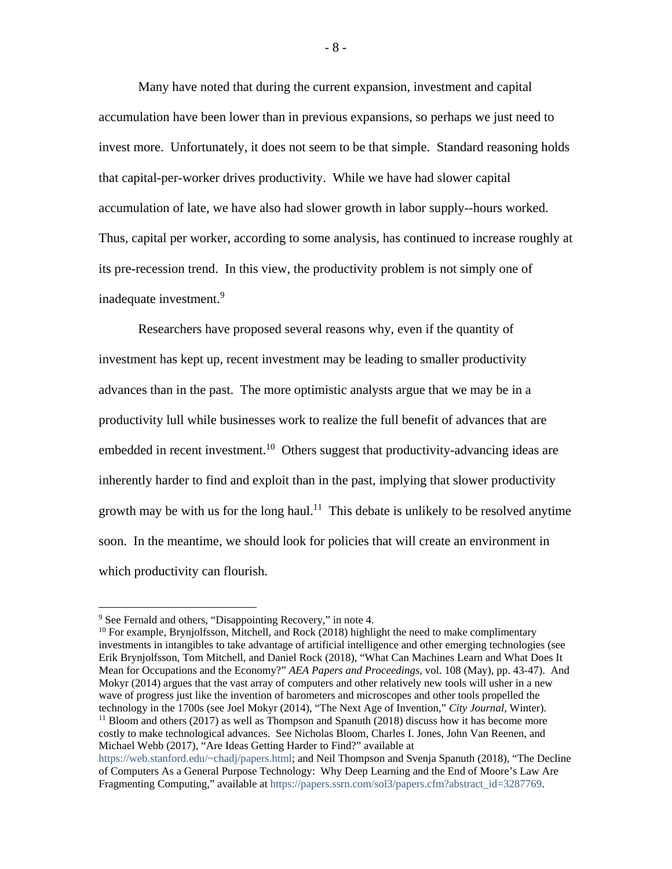Many have noted that during the current expansion, investment and capital accumulation have been lower than in previous expansions, so perhaps we just need to invest more. Unfortunately, it does not seem to be that simple. Standard reasoning holds that capital-per-worker drives productivity. While we have had slower capital accumulation of late, we have also had slower growth in labor supply--hours worked. Thus, capital per worker, according to some analysis, has continued to increase roughly at its pre-recession trend. In this view, the productivity problem is not simply one of inadequate investment.<sup>9</sup>

Researchers have proposed several reasons why, even if the quantity of investment has kept up, recent investment may be leading to smaller productivity advances than in the past. The more optimistic analysts argue that we may be in a productivity lull while businesses work to realize the full benefit of advances that are embedded in recent investment.<sup>10</sup> Others suggest that productivity-advancing ideas are inherently harder to find and exploit than in the past, implying that slower productivity growth may be with us for the long haul.<sup>11</sup> This debate is unlikely to be resolved anytime soon. In the meantime, we should look for policies that will create an environment in which productivity can flourish.

<sup>10</sup> For example, Brynjolfsson, Mitchell, and Rock (2018) highlight the need to make complimentary investments in intangibles to take advantage of artificial intelligence and other emerging technologies (see Erik Brynjolfsson, Tom Mitchell, and Daniel Rock (2018), "What Can Machines Learn and What Does It Mean for Occupations and the Economy?" *AEA Papers and Proceedings*, vol. 108 (May), pp. 43-47). And Mokyr (2014) argues that the vast array of computers and other relatively new tools will usher in a new wave of progress just like the invention of barometers and microscopes and other tools propelled the technology in the 1700s (see Joel Mokyr (2014), "The Next Age of Invention," *City Journal,* Winter).  $11$  Bloom and others (2017) as well as Thompson and Spanuth (2018) discuss how it has become more costly to make technological advances. See Nicholas Bloom, Charles I. Jones, John Van Reenen, and Michael Webb (2017), "Are Ideas Getting Harder to Find?" available at

 <sup>9</sup> See Fernald and others, "Disappointing Recovery," in note 4.

[https://web.stanford.edu/~chadj/papers.html;](https://web.stanford.edu/%7Echadj/papers.html) and Neil Thompson and Svenja Spanuth (2018), "The Decline of Computers As a General Purpose Technology: Why Deep Learning and the End of Moore's Law Are Fragmenting Computing," available at [https://papers.ssrn.com/sol3/papers.cfm?abstract\\_id=3287769.](https://papers.ssrn.com/sol3/papers.cfm?abstract_id=3287769)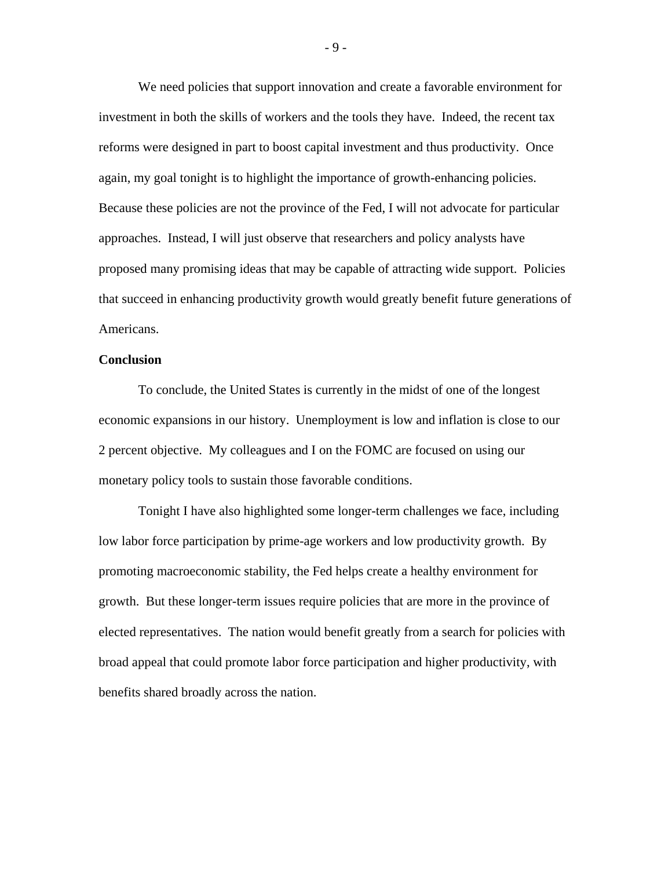We need policies that support innovation and create a favorable environment for investment in both the skills of workers and the tools they have. Indeed, the recent tax reforms were designed in part to boost capital investment and thus productivity. Once again, my goal tonight is to highlight the importance of growth-enhancing policies. Because these policies are not the province of the Fed, I will not advocate for particular approaches. Instead, I will just observe that researchers and policy analysts have proposed many promising ideas that may be capable of attracting wide support. Policies that succeed in enhancing productivity growth would greatly benefit future generations of Americans.

#### **Conclusion**

To conclude, the United States is currently in the midst of one of the longest economic expansions in our history. Unemployment is low and inflation is close to our 2 percent objective. My colleagues and I on the FOMC are focused on using our monetary policy tools to sustain those favorable conditions.

Tonight I have also highlighted some longer-term challenges we face, including low labor force participation by prime-age workers and low productivity growth. By promoting macroeconomic stability, the Fed helps create a healthy environment for growth. But these longer-term issues require policies that are more in the province of elected representatives. The nation would benefit greatly from a search for policies with broad appeal that could promote labor force participation and higher productivity, with benefits shared broadly across the nation.

- 9 -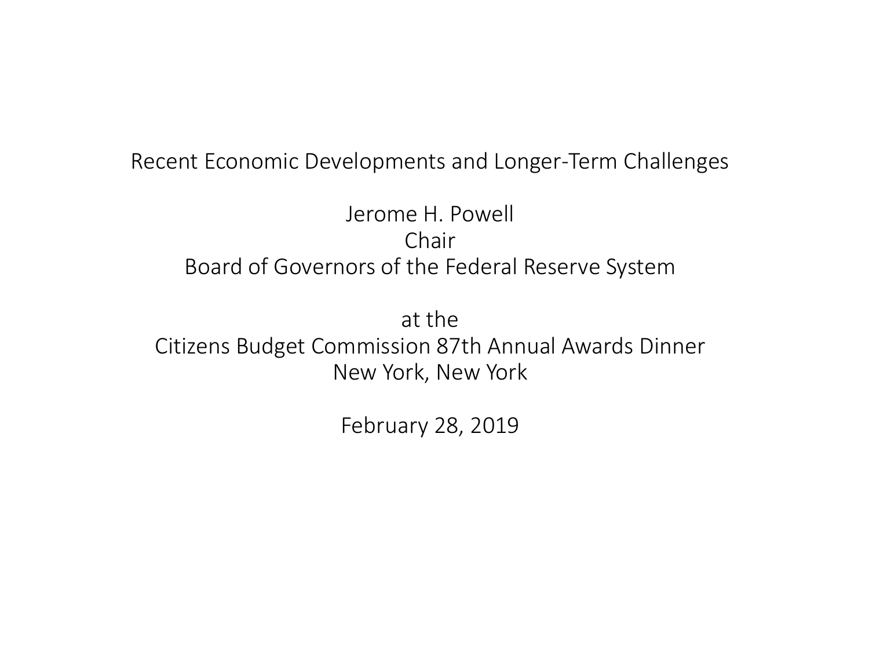#### Recent Economic Developments and Longer-Term Challenges

### Jerome H. Powell Chair Board of Governors of the Federal Reserve System

at the Citizens Budget Commission 87th Annual Awards Dinner New York, New York

February 28, 2019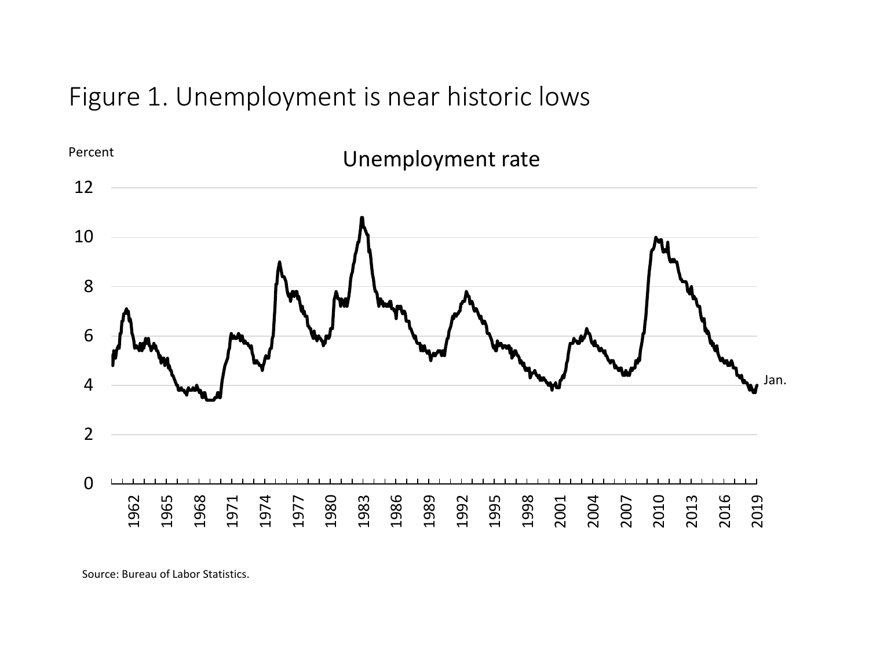Figure 1. Unemployment is near historic lows

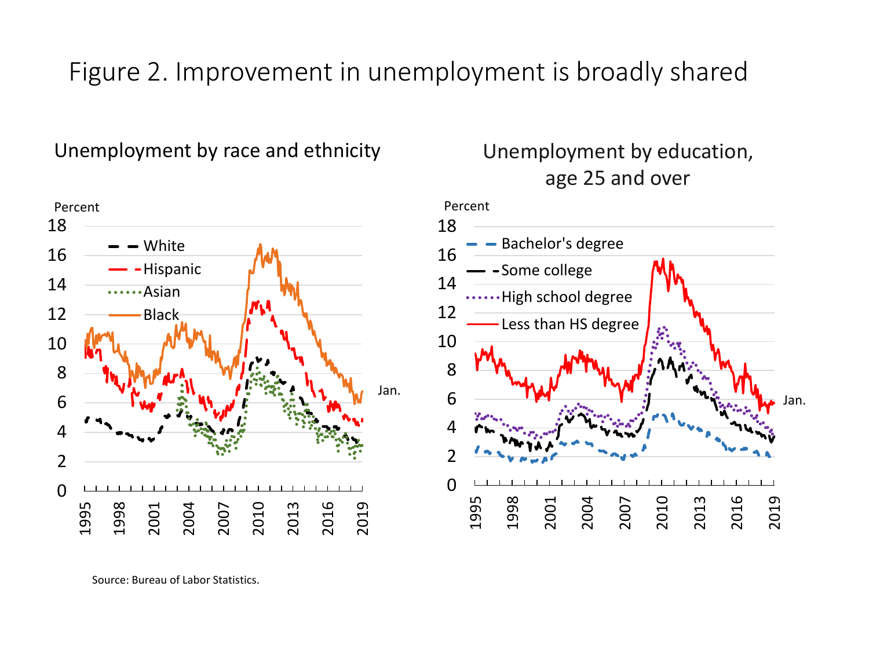## Figure 2. Improvement in unemployment is broadly shared

Unemployment by race and ethnicity Unemployment by education,



age 25 and over

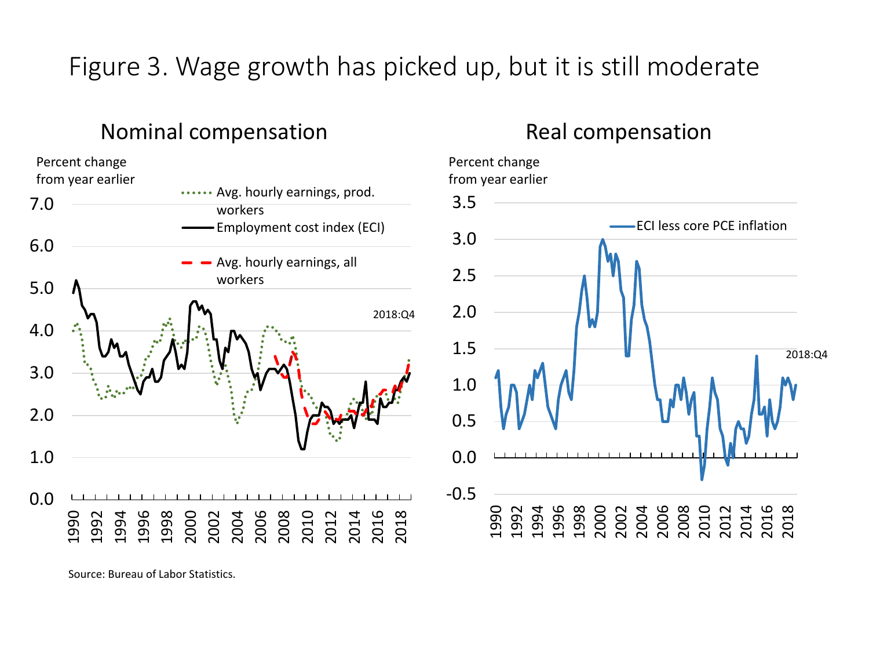# Figure 3. Wage growth has picked up, but it is still moderate

### Nominal compensation



### Real compensation

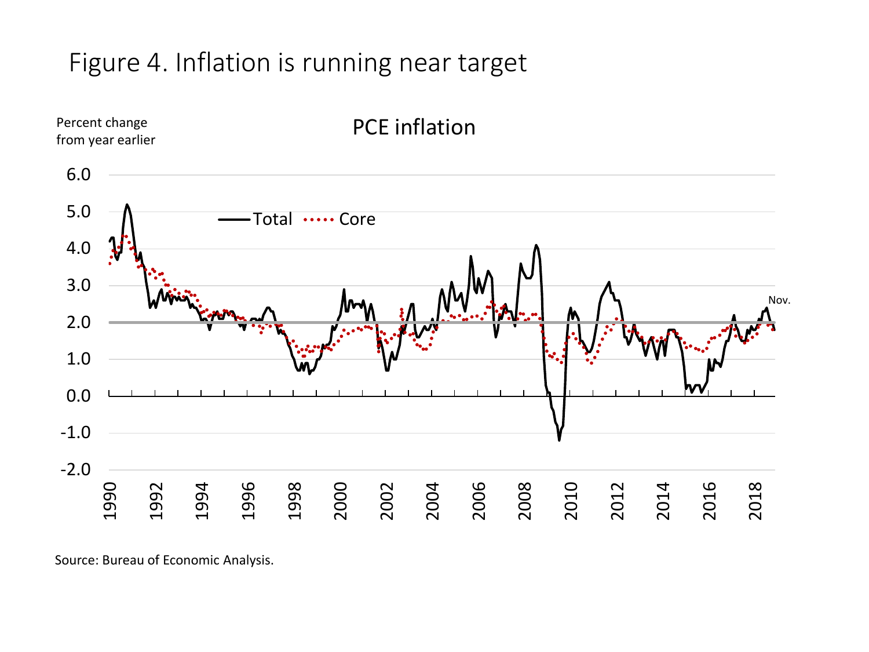# Figure 4. Inflation is running near target



Source: Bureau of Economic Analysis.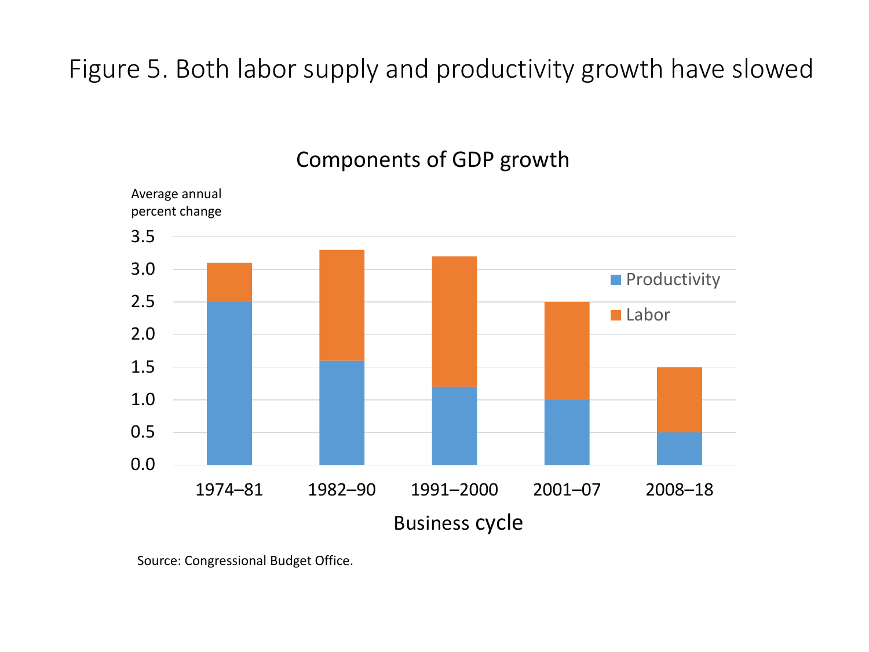# Figure 5. Both labor supply and productivity growth have slowed



#### Components of GDP growth

Source: Congressional Budget Office.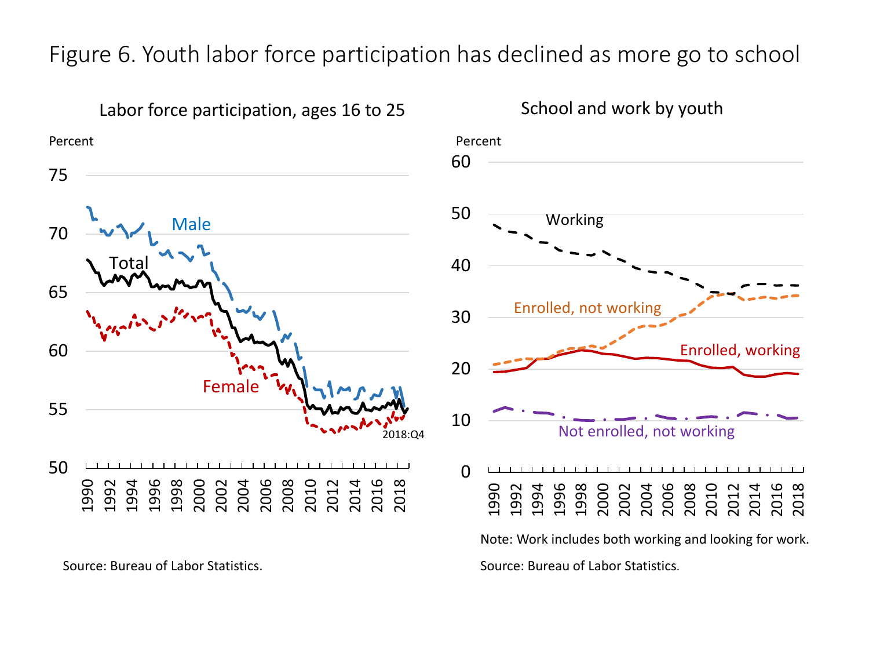### Figure 6. Youth labor force participation has declined as more go to school



Source: Bureau of Labor Statistics. Source: Bureau of Labor Statistics.



School and work by youth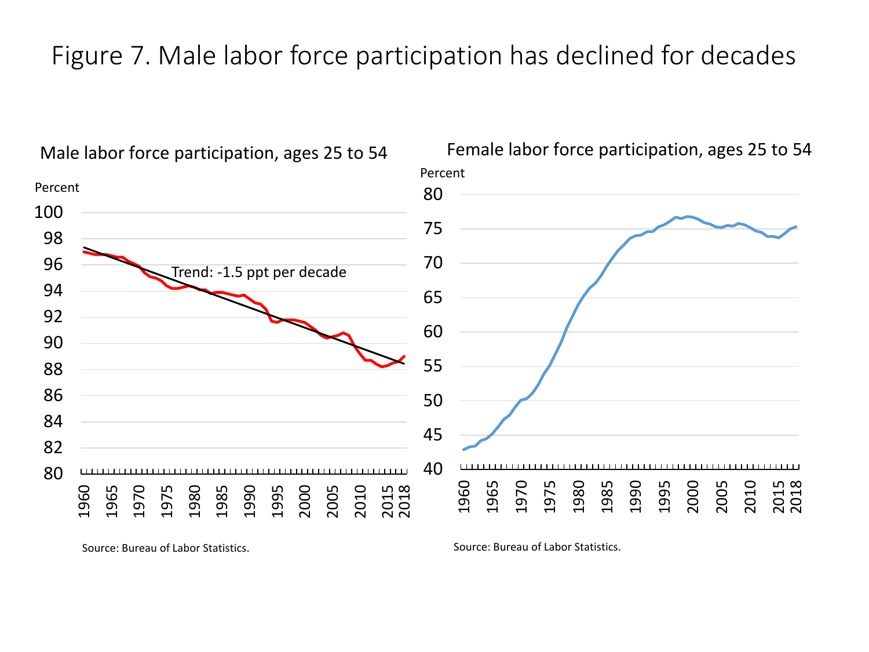## Figure 7. Male labor force participation has declined for decades



Male labor force participation, ages 25 to 54

Source: Bureau of Labor Statistics. Source: Bureau of Labor Statistics.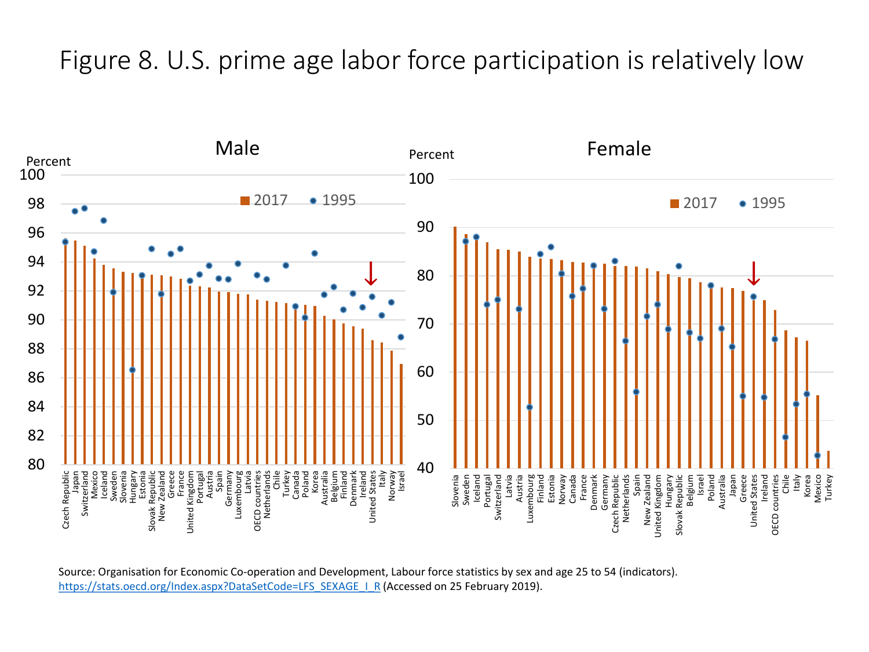## Figure 8. U.S. prime age labor force participation is relatively low



Source: Organisation for Economic Co-operation and Development, Labour force statistics by sex and age 25 to 54 (indicators). [https://stats.oecd.org/Index.aspx?DataSetCode=LFS\\_SEXAGE\\_I\\_R](https://stats.oecd.org/Index.aspx?DataSetCode=LFS_SEXAGE_I_R) (Accessed on 25 February 2019).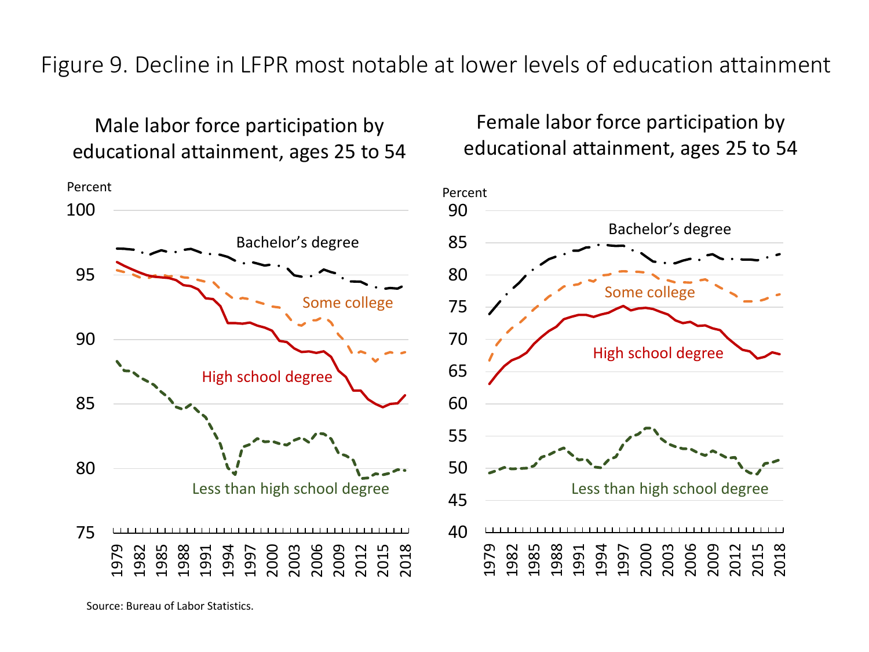Figure 9. Decline in LFPR most notable at lower levels of education attainment

Male labor force participation by educational attainment, ages 25 to 54



Female labor force participation by educational attainment, ages 25 to 54